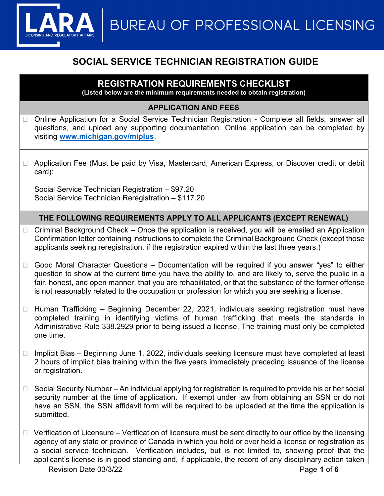

# SOCIAL SERVICE TECHNICIAN REGISTRATION GUIDE

## REGISTRATION REQUIREMENTS CHECKLIST

(Listed below are the minimum requirements needed to obtain registration)

### APPLICATION AND FEES

- □ Online Application for a Social Service Technician Registration Complete all fields, answer all questions, and upload any supporting documentation. Online application can be completed by visiting www.michigan.gov/miplus.
- □ Application Fee (Must be paid by Visa, Mastercard, American Express, or Discover credit or debit card):

Social Service Technician Registration – \$97.20 Social Service Technician Reregistration – \$117.20

### THE FOLLOWING REQUIREMENTS APPLY TO ALL APPLICANTS (EXCEPT RENEWAL)

- $\Box$  Criminal Background Check Once the application is received, you will be emailed an Application Confirmation letter containing instructions to complete the Criminal Background Check (except those applicants seeking reregistration, if the registration expired within the last three years.)
- $\Box$  Good Moral Character Questions Documentation will be required if you answer "yes" to either question to show at the current time you have the ability to, and are likely to, serve the public in a fair, honest, and open manner, that you are rehabilitated, or that the substance of the former offense is not reasonably related to the occupation or profession for which you are seeking a license.
- $\Box$  Human Trafficking Beginning December 22, 2021, individuals seeking registration must have completed training in identifying victims of human trafficking that meets the standards in Administrative Rule 338.2929 prior to being issued a license. The training must only be completed one time.
- $\Box$  Implicit Bias Beginning June 1, 2022, individuals seeking licensure must have completed at least 2 hours of implicit bias training within the five years immediately preceding issuance of the license or registration.
- $\Box$  Social Security Number An individual applying for registration is required to provide his or her social security number at the time of application. If exempt under law from obtaining an SSN or do not have an SSN, the SSN affidavit form will be required to be uploaded at the time the application is submitted.
- $\Box$  Verification of Licensure Verification of licensure must be sent directly to our office by the licensing agency of any state or province of Canada in which you hold or ever held a license or registration as a social service technician. Verification includes, but is not limited to, showing proof that the applicant's license is in good standing and, if applicable, the record of any disciplinary action taken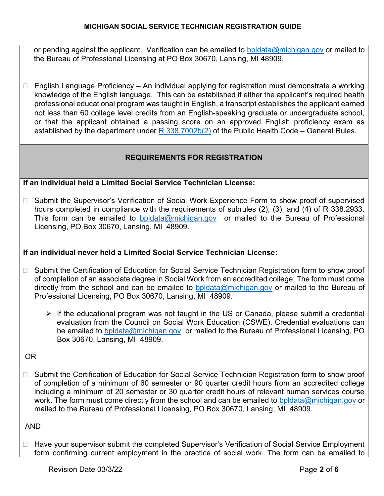or pending against the applicant. Verification can be emailed to bpldata@michigan.gov or mailed to the Bureau of Professional Licensing at PO Box 30670, Lansing, MI 48909.

 $\Box$  English Language Proficiency – An individual applying for registration must demonstrate a working knowledge of the English language. This can be established if either the applicant's required health professional educational program was taught in English, a transcript establishes the applicant earned not less than 60 college level credits from an English-speaking graduate or undergraduate school, or that the applicant obtained a passing score on an approved English proficiency exam as established by the department under  $R$  338.7002b(2) of the Public Health Code – General Rules.

### REQUIREMENTS FOR REGISTRATION

### If an individual held a Limited Social Service Technician License:

□ Submit the Supervisor's Verification of Social Work Experience Form to show proof of supervised hours completed in compliance with the requirements of subrules (2), (3), and (4) of R 338.2933. This form can be emailed to bpldata@michigan.gov or mailed to the Bureau of Professional Licensing, PO Box 30670, Lansing, MI 48909.

### If an individual never held a Limited Social Service Technician License:

- □ Submit the Certification of Education for Social Service Technician Registration form to show proof of completion of an associate degree in Social Work from an accredited college. The form must come directly from the school and can be emailed to bpldata@michigan.gov or mailed to the Bureau of Professional Licensing, PO Box 30670, Lansing, MI 48909.
	- $\triangleright$  If the educational program was not taught in the US or Canada, please submit a credential evaluation from the Council on Social Work Education (CSWE). Credential evaluations can be emailed to bpldata@michigan.gov or mailed to the Bureau of Professional Licensing, PO Box 30670, Lansing, MI 48909.

### OR

□ Submit the Certification of Education for Social Service Technician Registration form to show proof of completion of a minimum of 60 semester or 90 quarter credit hours from an accredited college including a minimum of 20 semester or 30 quarter credit hours of relevant human services course work. The form must come directly from the school and can be emailed to bpldata@michigan.gov or mailed to the Bureau of Professional Licensing, PO Box 30670, Lansing, MI 48909.

#### AND

□ Have your supervisor submit the completed Supervisor's Verification of Social Service Employment form confirming current employment in the practice of social work. The form can be emailed to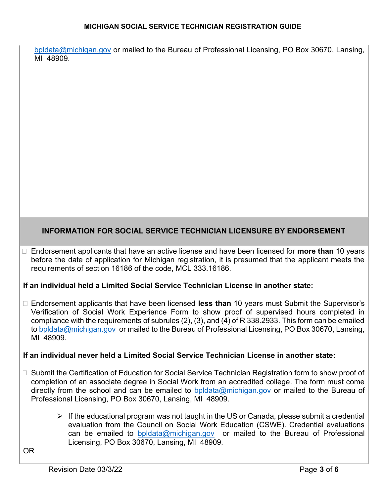#### MICHIGAN SOCIAL SERVICE TECHNICIAN REGISTRATION GUIDE

bpldata@michigan.gov or mailed to the Bureau of Professional Licensing, PO Box 30670, Lansing, MI 48909.

### INFORMATION FOR SOCIAL SERVICE TECHNICIAN LICENSURE BY ENDORSEMENT

 $\Box$  Endorsement applicants that have an active license and have been licensed for **more than** 10 years before the date of application for Michigan registration, it is presumed that the applicant meets the requirements of section 16186 of the code, MCL 333.16186.

#### If an individual held a Limited Social Service Technician License in another state:

 $\Box$  Endorsement applicants that have been licensed less than 10 years must Submit the Supervisor's Verification of Social Work Experience Form to show proof of supervised hours completed in compliance with the requirements of subrules (2), (3), and (4) of R 338.2933. This form can be emailed to bpldata@michigan.gov or mailed to the Bureau of Professional Licensing, PO Box 30670, Lansing, MI 48909.

#### If an individual never held a Limited Social Service Technician License in another state:

- □ Submit the Certification of Education for Social Service Technician Registration form to show proof of completion of an associate degree in Social Work from an accredited college. The form must come directly from the school and can be emailed to bpldata@michigan.gov or mailed to the Bureau of Professional Licensing, PO Box 30670, Lansing, MI 48909.
	- $\triangleright$  If the educational program was not taught in the US or Canada, please submit a credential evaluation from the Council on Social Work Education (CSWE). Credential evaluations can be emailed to **bpldata@michigan.gov** or mailed to the Bureau of Professional Licensing, PO Box 30670, Lansing, MI 48909.

OR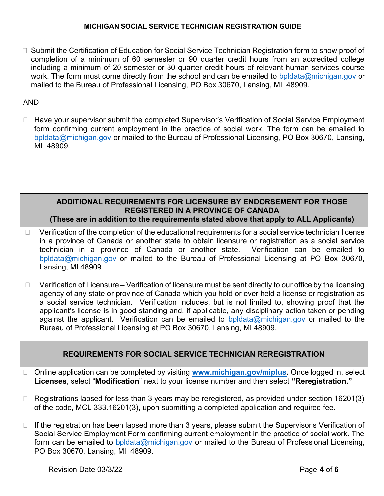#### MICHIGAN SOCIAL SERVICE TECHNICIAN REGISTRATION GUIDE

□ Submit the Certification of Education for Social Service Technician Registration form to show proof of completion of a minimum of 60 semester or 90 quarter credit hours from an accredited college including a minimum of 20 semester or 30 quarter credit hours of relevant human services course work. The form must come directly from the school and can be emailed to bpldata@michigan.gov or mailed to the Bureau of Professional Licensing, PO Box 30670, Lansing, MI 48909.

#### AND

□ Have your supervisor submit the completed Supervisor's Verification of Social Service Employment form confirming current employment in the practice of social work. The form can be emailed to bpldata@michigan.gov or mailed to the Bureau of Professional Licensing, PO Box 30670, Lansing, MI 48909.

#### ADDITIONAL REQUIREMENTS FOR LICENSURE BY ENDORSEMENT FOR THOSE REGISTERED IN A PROVINCE OF CANADA (These are in addition to the requirements stated above that apply to ALL Applicants)

- $\Box$  Verification of the completion of the educational requirements for a social service technician license in a province of Canada or another state to obtain licensure or registration as a social service technician in a province of Canada or another state. Verification can be emailed to bpldata@michigan.gov or mailed to the Bureau of Professional Licensing at PO Box 30670, Lansing, MI 48909.
- $\Box$  Verification of Licensure Verification of licensure must be sent directly to our office by the licensing agency of any state or province of Canada which you hold or ever held a license or registration as a social service technician. Verification includes, but is not limited to, showing proof that the applicant's license is in good standing and, if applicable, any disciplinary action taken or pending against the applicant. Verification can be emailed to bpldata@michigan.gov or mailed to the Bureau of Professional Licensing at PO Box 30670, Lansing, MI 48909.

#### REQUIREMENTS FOR SOCIAL SERVICE TECHNICIAN REREGISTRATION

- □ Online application can be completed by visiting www.michigan.gov/miplus. Once logged in, select Licenses, select "Modification" next to your license number and then select "Reregistration."
- $\Box$  Registrations lapsed for less than 3 years may be reregistered, as provided under section 16201(3) of the code, MCL 333.16201(3), upon submitting a completed application and required fee.
- $\Box$  If the registration has been lapsed more than 3 years, please submit the Supervisor's Verification of Social Service Employment Form confirming current employment in the practice of social work. The form can be emailed to bpldata@michigan.gov or mailed to the Bureau of Professional Licensing, PO Box 30670, Lansing, MI 48909.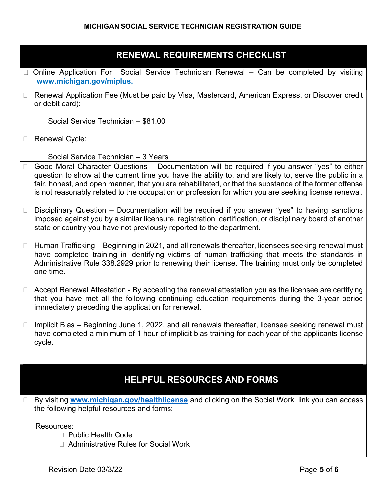## RENEWAL REQUIREMENTS CHECKLIST

- $\Box$  Online Application For Social Service Technician Renewal Can be completed by visiting www.michigan.gov/miplus.
- □ Renewal Application Fee (Must be paid by Visa, Mastercard, American Express, or Discover credit or debit card):

Social Service Technician – \$81.00

Renewal Cycle:

Social Service Technician – 3 Years

- $\Box$  Good Moral Character Questions Documentation will be required if you answer "yes" to either question to show at the current time you have the ability to, and are likely to, serve the public in a fair, honest, and open manner, that you are rehabilitated, or that the substance of the former offense is not reasonably related to the occupation or profession for which you are seeking license renewal.
- $\Box$  Disciplinary Question Documentation will be required if you answer "yes" to having sanctions imposed against you by a similar licensure, registration, certification, or disciplinary board of another state or country you have not previously reported to the department.
- $\Box$  Human Trafficking Beginning in 2021, and all renewals thereafter, licensees seeking renewal must have completed training in identifying victims of human trafficking that meets the standards in Administrative Rule 338.2929 prior to renewing their license. The training must only be completed one time.
- $\Box$  Accept Renewal Attestation By accepting the renewal attestation you as the licensee are certifying that you have met all the following continuing education requirements during the 3-year period immediately preceding the application for renewal.
- $\Box$  Implicit Bias Beginning June 1, 2022, and all renewals thereafter, licensee seeking renewal must have completed a minimum of 1 hour of implicit bias training for each year of the applicants license cycle.

## HELPFUL RESOURCES AND FORMS

□ By visiting www.michigan.gov/healthlicense and clicking on the Social Work link you can access the following helpful resources and forms:

#### Resources:

- □ Public Health Code
- □ Administrative Rules for Social Work